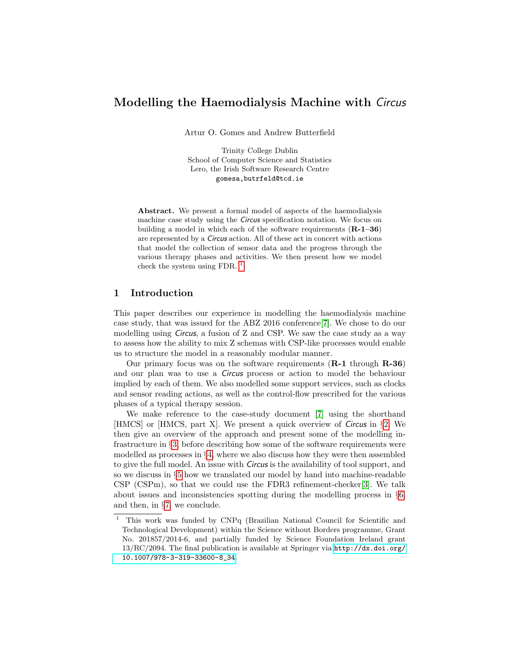# Modelling the Haemodialysis Machine with Circus

Artur O. Gomes and Andrew Butterfield

Trinity College Dublin School of Computer Science and Statistics Lero, the Irish Software Research Centre gomesa,butrfeld@tcd.ie

Abstract. We present a formal model of aspects of the haemodialysis machine case study using the *Circus* specification notation. We focus on building a model in which each of the software requirements (R-1–36) are represented by a Circus action. All of these act in concert with actions that model the collection of sensor data and the progress through the various therapy phases and activities. We then present how we model check the system using FDR.  $^1$  $^1$ 

### 1 Introduction

This paper describes our experience in modelling the haemodialysis machine case study, that was issued for the ABZ 2016 conference[\[7\]](#page-15-0). We chose to do our modelling using *Circus*, a fusion of Z and CSP. We saw the case study as a way to assess how the ability to mix Z schemas with CSP-like processes would enable us to structure the model in a reasonably modular manner.

Our primary focus was on the software requirements  $(R-1)$  through  $R-36$ and our plan was to use a Circus process or action to model the behaviour implied by each of them. We also modelled some support services, such as clocks and sensor reading actions, as well as the control-flow prescribed for the various phases of a typical therapy session.

We make reference to the case-study document [\[7\]](#page-15-0) using the shorthand [HMCS] or [HMCS, part X]. We present a quick overview of Circus in §[2.](#page-1-0) We then give an overview of the approach and present some of the modelling infrastructure in §[3,](#page-3-0) before describing how some of the software requirements were modelled as processes in §[4,](#page-6-0) where we also discuss how they were then assembled to give the full model. An issue with Circus is the availability of tool support, and so we discuss in §[5](#page-10-0) how we translated our model by hand into machine-readable CSP (CSPm), so that we could use the FDR3 refinement-checker[\[3\]](#page-15-1). We talk about issues and inconsistencies spotting during the modelling process in  $\S6$ , and then, in §[7,](#page-14-0) we conclude.

<span id="page-0-0"></span><sup>1</sup> This work was funded by CNPq (Brazilian National Council for Scientific and Technological Development) within the Science without Borders programme, Grant No. 201857/2014-6, and partially funded by Science Foundation Ireland grant  $13/RC/2094$ . The final publication is available at Springer via [http://dx.doi.org/](http://dx.doi.org/10.1007/978-3-319-33600-8_34) [10.1007/978-3-319-33600-8\\_34](http://dx.doi.org/10.1007/978-3-319-33600-8_34).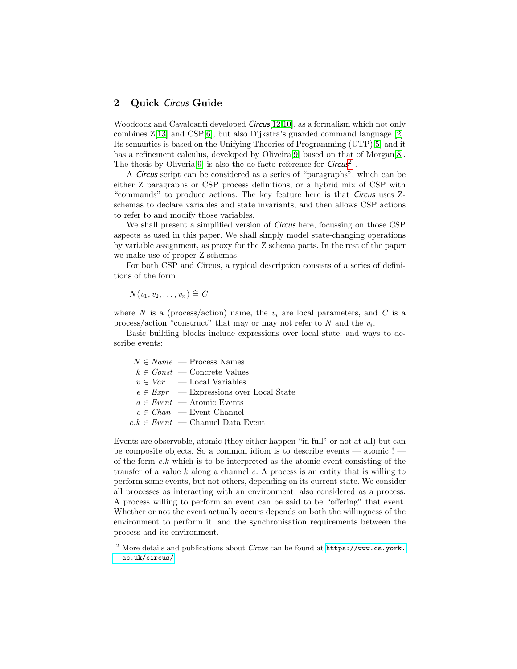## <span id="page-1-0"></span>2 Quick Circus Guide

Woodcock and Cavalcanti developed Circus[\[12](#page-15-2)[,10\]](#page-15-3), as a formalism which not only combines Z[\[13\]](#page-15-4) and CSP[\[6\]](#page-15-5), but also Dijkstra's guarded command language [\[2\]](#page-15-6). Its semantics is based on the Unifying Theories of Programming (UTP)[\[5\]](#page-15-7) and it has a refinement calculus, developed by Oliveira<sup>[\[9\]](#page-15-8)</sup> based on that of Morgan<sup>[\[8\]](#page-15-9)</sup>. The thesis by Oliveria<sup>[\[9\]](#page-15-8)</sup> is also the de-facto reference for  $Circus^2$  $Circus^2$ .

A Circus script can be considered as a series of "paragraphs", which can be either Z paragraphs or CSP process definitions, or a hybrid mix of CSP with "commands" to produce actions. The key feature here is that Circus uses Zschemas to declare variables and state invariants, and then allows CSP actions to refer to and modify those variables.

We shall present a simplified version of Circus here, focussing on those CSP aspects as used in this paper. We shall simply model state-changing operations by variable assignment, as proxy for the Z schema parts. In the rest of the paper we make use of proper Z schemas.

For both CSP and Circus, a typical description consists of a series of definitions of the form

$$
N(v_1,v_2,\ldots,v_n)\hat{=} C
$$

where N is a (process/action) name, the  $v_i$  are local parameters, and C is a process/action "construct" that may or may not refer to  $N$  and the  $v_i$ .

Basic building blocks include expressions over local state, and ways to describe events:

| $N \in Name$ – Process Names                       |
|----------------------------------------------------|
| $k \in Const$ — Concrete Values                    |
| $v \in Var$ — Local Variables                      |
| $e \in \text{Expr}$ — Expressions over Local State |
| $a \in Event$ — Atomic Events                      |
| $c \in Chan$ — Event Channel                       |
| $c.k \in Event$ — Channel Data Event               |

Events are observable, atomic (they either happen "in full" or not at all) but can be composite objects. So a common idiom is to describe events — atomic ! of the form  $c.k$  which is to be interpreted as the atomic event consisting of the transfer of a value  $k$  along a channel  $c$ . A process is an entity that is willing to perform some events, but not others, depending on its current state. We consider all processes as interacting with an environment, also considered as a process. A process willing to perform an event can be said to be "offering" that event. Whether or not the event actually occurs depends on both the willingness of the environment to perform it, and the synchronisation requirements between the process and its environment.

<span id="page-1-1"></span><sup>&</sup>lt;sup>2</sup> More details and publications about *Circus* can be found at [https://www.cs.york.](https://www.cs.york.ac.uk/circus/) [ac.uk/circus/](https://www.cs.york.ac.uk/circus/)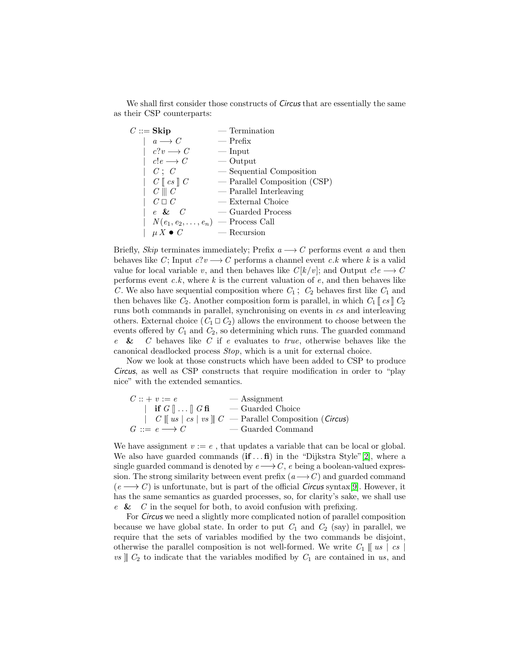We shall first consider those constructs of *Circus* that are essentially the same as their CSP counterparts:

| $C ::=$ Skip                              | $-$ Termination              |
|-------------------------------------------|------------------------------|
| $a \longrightarrow C$                     | $-$ Prefix                   |
| $c?v \longrightarrow C$                   | $-\ln\!{\rm put}$            |
| $c!e \longrightarrow C$                   | $-$ Output                   |
| C; C                                      | — Sequential Composition     |
| $C \parallel cs \parallel C$              | — Parallel Composition (CSP) |
| $C \parallel C$                           | — Parallel Interleaving      |
| $C \square C$                             | $-$ External Choice          |
| $e \& C$                                  | — Guarded Process            |
| $N(e_1, e_2, \ldots, e_n)$ – Process Call |                              |
| $\mu X \bullet C$                         | — Recursion                  |

Briefly, Skip terminates immediately; Prefix  $a \rightarrow C$  performs event a and then behaves like C; Input  $c?v \rightarrow C$  performs a channel event c.k where k is a valid value for local variable v, and then behaves like  $C[k/v]$ ; and Output  $c!e \longrightarrow C$ performs event  $c.k$ , where  $k$  is the current valuation of  $e$ , and then behaves like C. We also have sequential composition where  $C_1$ ;  $C_2$  behaves first like  $C_1$  and then behaves like  $C_2$ . Another composition form is parallel, in which  $C_1 \llbracket c \rrbracket C_2$ runs both commands in parallel, synchronising on events in cs and interleaving others. External choice  $(C_1 \square C_2)$  allows the environment to choose between the events offered by  $C_1$  and  $C_2$ , so determining which runs. The guarded command e & C behaves like C if e evaluates to true, otherwise behaves like the canonical deadlocked process Stop, which is a unit for external choice.

Now we look at those constructs which have been added to CSP to produce Circus, as well as CSP constructs that require modification in order to "play nice" with the extended semantics.

| $C::+v:=e$                                   | — Assignment                                               |
|----------------------------------------------|------------------------------------------------------------|
| $\parallel$ if $G \parallel  \parallel G$ fi | — Guarded Choice                                           |
|                                              | $\ C\ $ us $ cs $ us $\ C$ — Parallel Composition (Circus) |
| $G ::= e \longrightarrow C$                  | — Guarded Command                                          |

We have assignment  $v := e$ , that updates a variable that can be local or global. We also have guarded commands  $(i\mathbf{f} \dots \mathbf{f})$  in the "Dijkstra Style"[\[2\]](#page-15-6), where a single guarded command is denoted by  $e \rightarrow C$ , e being a boolean-valued expression. The strong similarity between event prefix  $(a \rightarrow C)$  and guarded command  $(e \longrightarrow C)$  is unfortunate, but is part of the official Circus syntax[\[9\]](#page-15-8). However, it has the same semantics as guarded processes, so, for clarity's sake, we shall use  $e \& C$  in the sequel for both, to avoid confusion with prefixing.

For Circus we need a slightly more complicated notion of parallel composition because we have global state. In order to put  $C_1$  and  $C_2$  (say) in parallel, we require that the sets of variables modified by the two commands be disjoint, otherwise the parallel composition is not well-formed. We write  $C_1 \parallel us \mid cs \mid$  $vs$  ||  $C_2$  to indicate that the variables modified by  $C_1$  are contained in us, and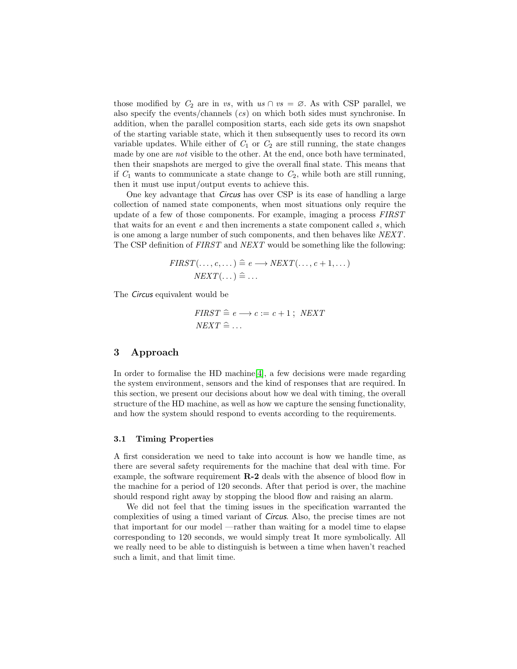those modified by  $C_2$  are in vs, with us  $\cap$  vs =  $\emptyset$ . As with CSP parallel, we also specify the events/channels (cs) on which both sides must synchronise. In addition, when the parallel composition starts, each side gets its own snapshot of the starting variable state, which it then subsequently uses to record its own variable updates. While either of  $C_1$  or  $C_2$  are still running, the state changes made by one are *not* visible to the other. At the end, once both have terminated, then their snapshots are merged to give the overall final state. This means that if  $C_1$  wants to communicate a state change to  $C_2$ , while both are still running. then it must use input/output events to achieve this.

One key advantage that Circus has over CSP is its ease of handling a large collection of named state components, when most situations only require the update of a few of those components. For example, imaging a process FIRST that waits for an event  $e$  and then increments a state component called  $s$ , which is one among a large number of such components, and then behaves like NEXT. The CSP definition of FIRST and NEXT would be something like the following:

$$
FIRST(\ldots, c, \ldots) \cong e \longrightarrow NEXT(\ldots, c+1, \ldots)
$$

$$
NEXT(\ldots) \cong \ldots
$$

The *Circus* equivalent would be

$$
FIRST \cong e \longrightarrow c := c + 1; NEXT
$$
  

$$
NEXT \cong ...
$$

## <span id="page-3-0"></span>3 Approach

In order to formalise the HD machine  $[4]$ , a few decisions were made regarding the system environment, sensors and the kind of responses that are required. In this section, we present our decisions about how we deal with timing, the overall structure of the HD machine, as well as how we capture the sensing functionality, and how the system should respond to events according to the requirements.

### 3.1 Timing Properties

A first consideration we need to take into account is how we handle time, as there are several safety requirements for the machine that deal with time. For example, the software requirement  $\mathbb{R}-2$  deals with the absence of blood flow in the machine for a period of 120 seconds. After that period is over, the machine should respond right away by stopping the blood flow and raising an alarm.

We did not feel that the timing issues in the specification warranted the complexities of using a timed variant of Circus. Also, the precise times are not that important for our model —rather than waiting for a model time to elapse corresponding to 120 seconds, we would simply treat It more symbolically. All we really need to be able to distinguish is between a time when haven't reached such a limit, and that limit time.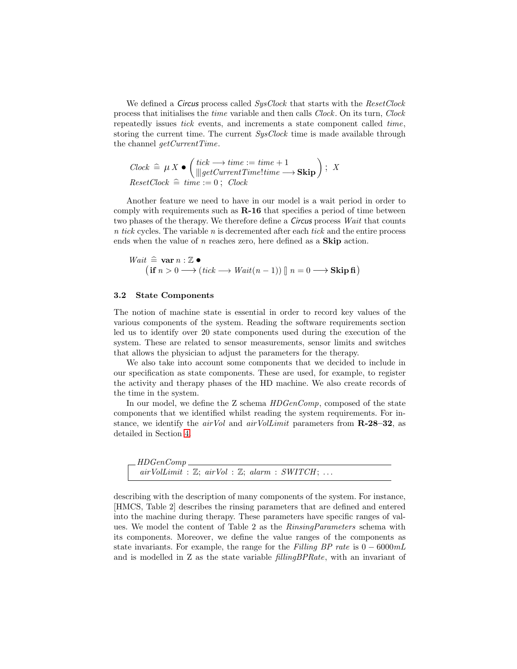We defined a Circus process called  $SysClock$  that starts with the  $ResetClock$ process that initialises the time variable and then calls Clock. On its turn, Clock repeatedly issues tick events, and increments a state component called time, storing the current time. The current  $SysClock$  time is made available through the channel getCurrentTime.

$$
Clock \cong \mu X \bullet \left( \begin{array}{c} tick \longrightarrow time := time + 1 \\ \parallel getCurrentTime!time \longrightarrow \textbf{Skip} \end{array} \right); X
$$

$$
ResetClock \cong time := 0; Clock
$$

Another feature we need to have in our model is a wait period in order to comply with requirements such as R-16 that specifies a period of time between two phases of the therapy. We therefore define a *Circus* process *Wait* that counts  $n$  tick cycles. The variable  $n$  is decremented after each tick and the entire process ends when the value of  $n$  reaches zero, here defined as a **Skip** action.

Wait 
$$
\widehat{=}
$$
 **var**  $n : \mathbb{Z} \bullet$   
(**if**  $n > 0 \longrightarrow (tick \longrightarrow Wait(n-1)) \parallel n = 0 \longrightarrow$ **Skip fi**)

#### 3.2 State Components

The notion of machine state is essential in order to record key values of the various components of the system. Reading the software requirements section led us to identify over 20 state components used during the execution of the system. These are related to sensor measurements, sensor limits and switches that allows the physician to adjust the parameters for the therapy.

We also take into account some components that we decided to include in our specification as state components. These are used, for example, to register the activity and therapy phases of the HD machine. We also create records of the time in the system.

In our model, we define the Z schema  $HDGenComp$ , composed of the state components that we identified whilst reading the system requirements. For instance, we identify the *airVol* and *airVolLimit* parameters from **R-28–32**, as detailed in Section [4.](#page-6-0)

| $\_HDGenComp$ |                                                                               |  |
|---------------|-------------------------------------------------------------------------------|--|
|               | $airVolLimit : \mathbb{Z}; \; airVol : \mathbb{Z}; \; alarm : SWITCH; \ldots$ |  |

describing with the description of many components of the system. For instance, [HMCS, Table 2] describes the rinsing parameters that are defined and entered into the machine during therapy. These parameters have specific ranges of values. We model the content of Table 2 as the RinsingParameters schema with its components. Moreover, we define the value ranges of the components as state invariants. For example, the range for the Filling BP rate is  $0 - 6000mL$ and is modelled in Z as the state variable fillingBPRate, with an invariant of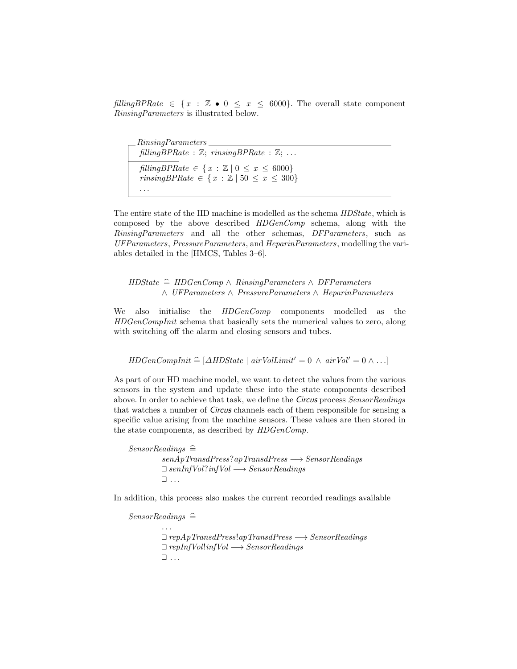fillingBPRate  $\in \{x : \mathbb{Z} \bullet 0 \leq x \leq 6000\}$ . The overall state component RinsingParameters is illustrated below.

 $\_RinsingParameters \_\$  $filling BPRate : \mathbb{Z};$  rinsing  $BPRate : \mathbb{Z};$  ...  $filling BPRate \in \{x : \mathbb{Z} \mid 0 \leq x \leq 6000\}$ rinsingBPRate  $\in \{ x : \mathbb{Z} \mid 50 \leq x \leq 300 \}$ . . .

The entire state of the HD machine is modelled as the schema HDState, which is composed by the above described HDGenComp schema, along with the RinsingParameters and all the other schemas, DFParameters, such as UFParameters, PressureParameters, and HeparinParameters, modelling the variables detailed in the [HMCS, Tables 3–6].

 $HDState \hat{=} HDGenComp \wedge RinsingParameters \wedge DFParameters$ ∧ UFParameters ∧ PressureParameters ∧ HeparinParameters

We also initialise the  $HDGenComp$  components modelled as the HDGenCompInit schema that basically sets the numerical values to zero, along with switching off the alarm and closing sensors and tubes.

 $HDGenComprint \hat{=} [\triangle HDState \mid airVolLimit' = 0 \land airVol' = 0 \land ...]$ 

As part of our HD machine model, we want to detect the values from the various sensors in the system and update these into the state components described above. In order to achieve that task, we define the Circus process SensorReadings that watches a number of Circus channels each of them responsible for sensing a specific value arising from the machine sensors. These values are then stored in the state components, as described by HDGenComp.

 $SensorReadings \hat{=}$  $\operatorname{senApTransdPress}$ ? apTransdPress  $\longrightarrow$  SensorReadings  $\Box$  senInfVol?infVol  $\longrightarrow$  SensorReadings  $\square$  . . .

In addition, this process also makes the current recorded readings available

```
SensorReadings \triangleq. . .
            \Box repApTransdPress!apTransdPress \longrightarrow SensorReadings
            \Box repInfVol!infVol \longrightarrow SensorReadings
            \square . . .
```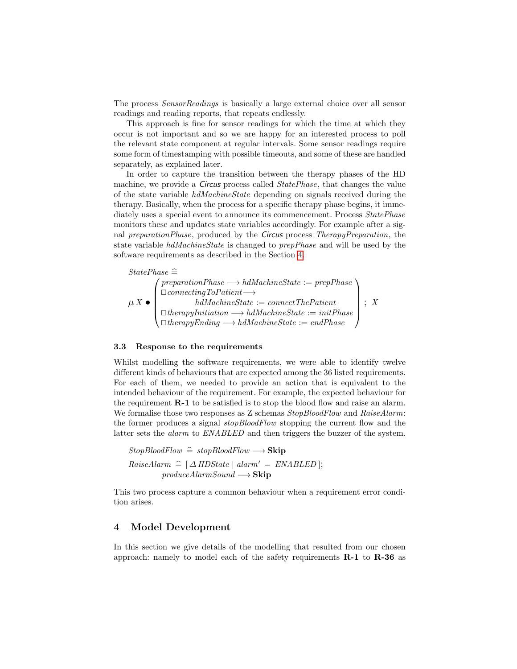The process SensorReadings is basically a large external choice over all sensor readings and reading reports, that repeats endlessly.

This approach is fine for sensor readings for which the time at which they occur is not important and so we are happy for an interested process to poll the relevant state component at regular intervals. Some sensor readings require some form of timestamping with possible timeouts, and some of these are handled separately, as explained later.

In order to capture the transition between the therapy phases of the HD machine, we provide a *Circus* process called *StatePhase*, that changes the value of the state variable hdMachineState depending on signals received during the therapy. Basically, when the process for a specific therapy phase begins, it immediately uses a special event to announce its commencement. Process  $StatePhase$ monitors these and updates state variables accordingly. For example after a signal preparationPhase, produced by the Circus process TherapyPreparation, the state variable *hdMachineState* is changed to *prepPhase* and will be used by the software requirements as described in the Section [4.](#page-6-0)

 $StatePhase \triangleq$  $\mu X \bullet$  $\sqrt{ }$  $\overline{\phantom{a}}$  $preparationPhase \longrightarrow h dMachine State := prepPhase$ @connectingToPatient−→ hdMachineState := connectThePatient  $\Box$ therapyInitiation  $\longrightarrow$  hdMachineState := initPhase  $\Box$ therapyEnding  $\longrightarrow$  hdMachineState := endPhase  $\setminus$  $\Bigg|$  ; X

### 3.3 Response to the requirements

Whilst modelling the software requirements, we were able to identify twelve different kinds of behaviours that are expected among the 36 listed requirements. For each of them, we needed to provide an action that is equivalent to the intended behaviour of the requirement. For example, the expected behaviour for the requirement R-1 to be satisfied is to stop the blood flow and raise an alarm. We formalise those two responses as Z schemas  $Stop BloodFlow$  and  $RaiseAlarm$ : the former produces a signal stopBloodFlow stopping the current flow and the latter sets the *alarm* to *ENABLED* and then triggers the buzzer of the system.

 $Stop BloodFlow \cong stopBoolean$  $RaiseAlarm \hat{=} [\Delta HDState | alarm' = ENABLED$  ];  $produceAlarmSound \longrightarrow$  Skip

This two process capture a common behaviour when a requirement error condition arises.

## <span id="page-6-0"></span>4 Model Development

In this section we give details of the modelling that resulted from our chosen approach: namely to model each of the safety requirements  $R-1$  to  $R-36$  as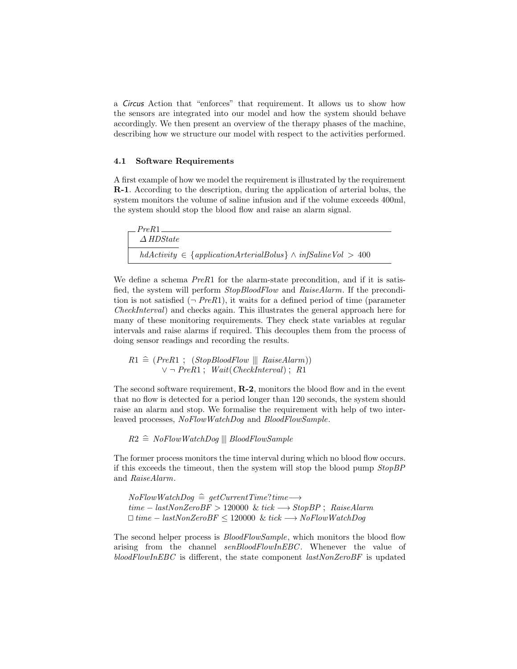a Circus Action that "enforces" that requirement. It allows us to show how the sensors are integrated into our model and how the system should behave accordingly. We then present an overview of the therapy phases of the machine, describing how we structure our model with respect to the activities performed.

### 4.1 Software Requirements

A first example of how we model the requirement is illustrated by the requirement R-1. According to the description, during the application of arterial bolus, the system monitors the volume of saline infusion and if the volume exceeds 400ml, the system should stop the blood flow and raise an alarm signal.

| PreR1                |                                                                        |
|----------------------|------------------------------------------------------------------------|
| $\triangle HDS$ tate |                                                                        |
|                      | $hdActivity \in \{applicationArterialBolus\} \land infSalineVol > 400$ |

We define a schema  $PreR1$  for the alarm-state precondition, and if it is satisfied, the system will perform StopBloodFlow and RaiseAlarm. If the precondition is not satisfied  $(\neg \text{PreR1})$ , it waits for a defined period of time (parameter CheckInterval) and checks again. This illustrates the general approach here for many of these monitoring requirements. They check state variables at regular intervals and raise alarms if required. This decouples them from the process of doing sensor readings and recording the results.

 $R1 \triangleq (PreR1 ; (Stop BloodFlow \parallel RaiseAlarm))$  $\vee$  ¬ PreR1 ; Wait(CheckInterval) ; R1

The second software requirement, R-2, monitors the blood flow and in the event that no flow is detected for a period longer than 120 seconds, the system should raise an alarm and stop. We formalise the requirement with help of two interleaved processes, NoFlowWatchDog and BloodFlowSample.

 $R2 \triangleq NoFlowWatchDog \parallel BloodFlowSample$ 

The former process monitors the time interval during which no blood flow occurs. if this exceeds the timeout, then the system will stop the blood pump StopBP and RaiseAlarm.

 $NoFlowWatchDog \cong getCurrentTime?time\longrightarrow$  $time - lastNonZeroBF > 120000 \& tick \longrightarrow StopBP$ ; RaiseAlarm  $\Box$  time – lastNonZeroBF  $\leq$  120000 & tick  $\longrightarrow$  NoFlowWatchDog

The second helper process is *BloodFlowSample*, which monitors the blood flow arising from the channel senBloodFlowInEBC . Whenever the value of  *is different, the state component*  $lastNonZeroBF$  *is updated*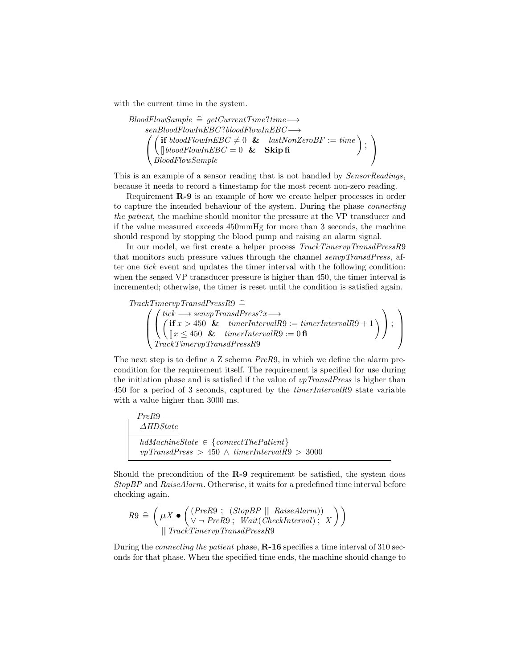with the current time in the system.

```
BloodFlowSample \cong getCurrentTime?time\longrightarrowsen BloodFlowInEBC? bloodFlowInEBC \longrightarrow\sqrt{ }\mathcal{L}\begin{pmatrix} \textbf{if } bloodFlowInEBC \neq 0 & \textbf{&} lastNonZeroBF := time \\ \llbracket bloodFlowInEBC = 0 & \textbf{&} \textbf{skip fi} \end{pmatrix};BloodFlowSample
                                                                                                                            \setminus\overline{1}
```
This is an example of a sensor reading that is not handled by SensorReadings, because it needs to record a timestamp for the most recent non-zero reading.

Requirement R-9 is an example of how we create helper processes in order to capture the intended behaviour of the system. During the phase connecting the patient, the machine should monitor the pressure at the VP transducer and if the value measured exceeds 450mmHg for more than 3 seconds, the machine should respond by stopping the blood pump and raising an alarm signal.

In our model, we first create a helper process TrackTimervpTransdPressR9 that monitors such pressure values through the channel senvpTransdPress, after one tick event and updates the timer interval with the following condition: when the sensed VP transducer pressure is higher than 450, the timer interval is incremented; otherwise, the timer is reset until the condition is satisfied again.

```
TrackTimervp\,TransdPressR9 \triangleqkTimervp\,TransdPressR9 \,\,\widehat{=}\,\,\,\int\,\,\int\,tick \,\longrightarrow\, senvp\,TransdP\overline{\phantom{a}}\sqrt{ }\mathcal{L}tick
                 \sqrt{ }\longrightarrow senvpTransdPress?x\longrightarrowif x > 450 & timerIntervalR9 := timerIntervalR9 + 1
                     \mathbb{R}x \leq 450 & timerIntervalR9 := 0 fi<br>
\mathbf{R}^k. Examples and Press R9
                                                                                                                                \setminus\setminus\vert ;
             TrackTimervpTransdPressR9
                                                                                                                                            \setminus\Big\}
```
The next step is to define a Z schema PreR9, in which we define the alarm precondition for the requirement itself. The requirement is specified for use during the initiation phase and is satisfied if the value of  $vp\,TransdPress$  is higher than 450 for a period of 3 seconds, captured by the timerIntervalR9 state variable with a value higher than 3000 ms.

| PreR9                                                             |
|-------------------------------------------------------------------|
| $\triangle HDS$ tate                                              |
| $hdMachine State \in \{connectThe Patient\}$                      |
| $vp\,TransdPress\, >\, 450\, \wedge\, timerIntervalR9\, >\, 3000$ |

Should the precondition of the  $R-9$  requirement be satisfied, the system does StopBP and RaiseAlarm. Otherwise, it waits for a predefined time interval before checking again.

$$
R9 \cong \left(\mu X \bullet \left(\begin{array}{c}\n(PreR9 ; (StopBP \parallel RaiseAlarm)) \\
\vee \neg PreR9 ; Wait(CheckInterval) ; X\n\end{array}\right)\right)
$$
  

$$
\parallel TrackTimervpTransdPressR9
$$

During the *connecting the patient* phase, **R-16** specifies a time interval of 310 seconds for that phase. When the specified time ends, the machine should change to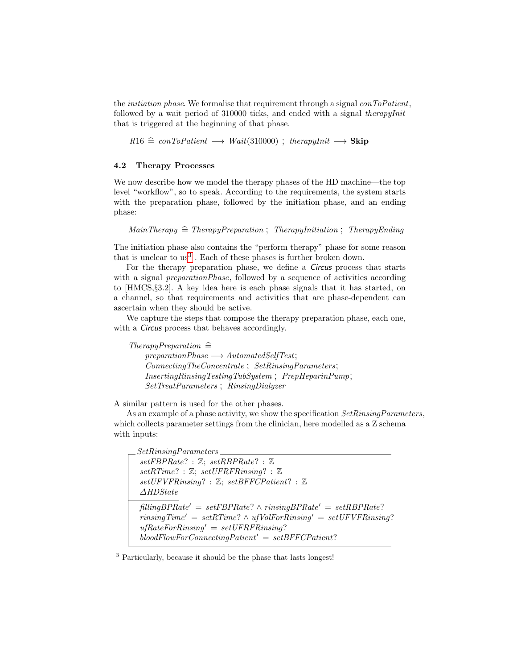the *initiation phase*. We formalise that requirement through a signal *conToPatient*, followed by a wait period of 310000 ticks, and ended with a signal *therapyInit* that is triggered at the beginning of that phase.

 $R16 \triangleq conToPatient \longrightarrow Wait(310000)$ ; therapyInit  $\longrightarrow$  Skip

### 4.2 Therapy Processes

We now describe how we model the therapy phases of the HD machine—the top level "workflow", so to speak. According to the requirements, the system starts with the preparation phase, followed by the initiation phase, and an ending phase:

 $MainTheory \cong TherapyPreparation$ ; TherapyInitiation ; TherapyEnding

The initiation phase also contains the "perform therapy" phase for some reason that is unclear to  $us^3$  $us^3$ . Each of these phases is further broken down.

For the therapy preparation phase, we define a Circus process that starts with a signal *preparationPhase*, followed by a sequence of activities according to [HMCS,§3.2]. A key idea here is each phase signals that it has started, on a channel, so that requirements and activities that are phase-dependent can ascertain when they should be active.

We capture the steps that compose the therapy preparation phase, each one, with a *Circus* process that behaves accordingly.

 $The rayPreparation \hat{=}$  $preparationPhase \longrightarrow AutomatedSelfTest;$ ConnectingTheConcentrate ; SetRinsingParameters; InsertingRinsingTestingTubSystem ; PrepHeparinPump; SetTreatParameters ; RinsingDialyzer

A similar pattern is used for the other phases.

As an example of a phase activity, we show the specification SetRinsingParameters, which collects parameter settings from the clinician, here modelled as a Z schema with inputs:

| $\_SetRinsingParameters\_$                                            |
|-----------------------------------------------------------------------|
| $setFBPRate?$ : $\mathbb{Z}$ ; $setRBPRate?$ : $\mathbb{Z}$           |
| $set RTime? : \mathbb{Z}; set UFRFR in sing? : \mathbb{Z}$            |
| $setUFVFRinsing? : \mathbb{Z}; setBFFCPatient? : \mathbb{Z}$          |
| $\triangle HDS$ tate                                                  |
| $filling BPRate' = set FBPRate? \wedge rising BPRate' = set RBPRate?$ |
| $rinsingTime' = setRTime? \wedge ufVolForRinsing' = setUFVFRinsing?$  |
| $ufRateForRinsing' = setUFRF Rinsing?$                                |
| $bloodFlowFor Connecting Patient' = set BFFCP atient?$                |

<span id="page-9-0"></span><sup>3</sup> Particularly, because it should be the phase that lasts longest!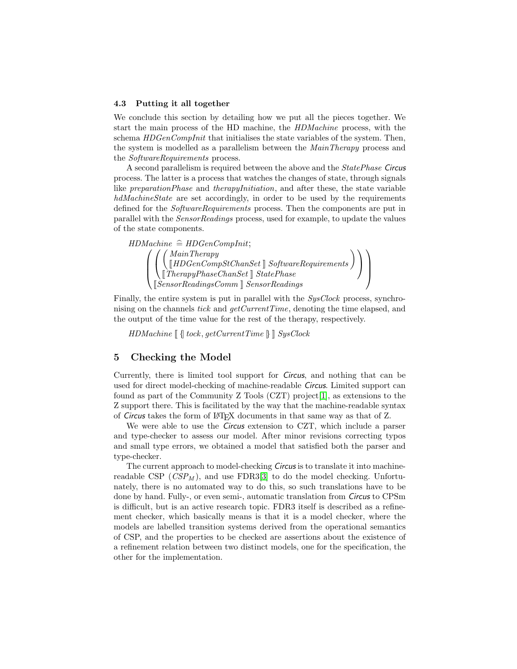#### 4.3 Putting it all together

We conclude this section by detailing how we put all the pieces together. We start the main process of the HD machine, the HDMachine process, with the schema  $HDGenComprint$  that initialises the state variables of the system. Then, the system is modelled as a parallelism between the MainTherapy process and the SoftwareRequirements process.

A second parallelism is required between the above and the StatePhase Circus process. The latter is a process that watches the changes of state, through signals like preparationPhase and therapyInitiation, and after these, the state variable hdMachineState are set accordingly, in order to be used by the requirements defined for the *SoftwareRequirements* process. Then the components are put in parallel with the SensorReadings process, used for example, to update the values of the state components.

$$
HDMachine \ \widehat{=} \ HDGenComplnit; \\ \ \left( \left( \begin{pmatrix} MainTheory \\ \llbracket HDGenCompStChanset \rrbracket \ SoftwareRequest \end{pmatrix} \right) \ \right) \\ \ \left( \begin{pmatrix} [MapGenCompStChanset \rrbracket \ SettePhase \\ \llbracket SensorReadingsComm \rrbracket \ SensorReadings \end{pmatrix} \right)
$$

Finally, the entire system is put in parallel with the *SysClock* process, synchronising on the channels tick and  $getCurrentTime$ , denoting the time elapsed, and the output of the time value for the rest of the therapy, respectively.

 $HDMachine \parallel \{ \mid lock, getCurrentTime \parallel \} \parallel SysClock$ 

## <span id="page-10-0"></span>5 Checking the Model

Currently, there is limited tool support for Circus, and nothing that can be used for direct model-checking of machine-readable Circus. Limited support can found as part of the Community Z Tools (CZT) project[\[1\]](#page-15-11), as extensions to the Z support there. This is facilitated by the way that the machine-readable syntax of Circus takes the form of LATEX documents in that same way as that of Z.

We were able to use the Circus extension to CZT, which include a parser and type-checker to assess our model. After minor revisions correcting typos and small type errors, we obtained a model that satisfied both the parser and type-checker.

The current approach to model-checking Circus is to translate it into machinereadable CSP  $(CSP_M)$ , and use FDR3[\[3\]](#page-15-1) to do the model checking. Unfortunately, there is no automated way to do this, so such translations have to be done by hand. Fully-, or even semi-, automatic translation from Circus to CPSm is difficult, but is an active research topic. FDR3 itself is described as a refinement checker, which basically means is that it is a model checker, where the models are labelled transition systems derived from the operational semantics of CSP, and the properties to be checked are assertions about the existence of a refinement relation between two distinct models, one for the specification, the other for the implementation.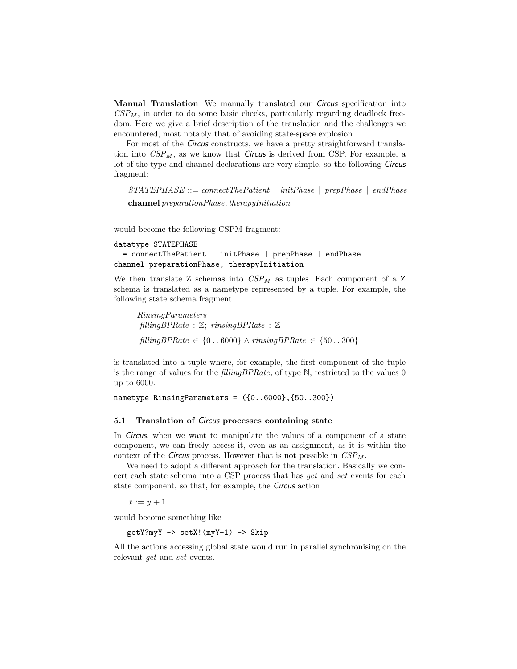Manual Translation We manually translated our *Circus* specification into  $CSP<sub>M</sub>$ , in order to do some basic checks, particularly regarding deadlock freedom. Here we give a brief description of the translation and the challenges we encountered, most notably that of avoiding state-space explosion.

For most of the *Circus* constructs, we have a pretty straightforward translation into  $CSP_M$ , as we know that Circus is derived from CSP. For example, a lot of the type and channel declarations are very simple, so the following Circus fragment:

 $STATEPHASE ::= connectThe Patient \mid initPhase \mid prepPhase \mid endPhase$ channel preparationPhase, therapyInitiation

would become the following CSPM fragment:

## datatype STATEPHASE = connectThePatient | initPhase | prepPhase | endPhase channel preparationPhase, therapyInitiation

We then translate Z schemas into  $CSP_M$  as tuples. Each component of a Z schema is translated as a nametype represented by a tuple. For example, the following state schema fragment

RinsingParameters  $filling BPRate : \mathbb{Z};$   $rinsing BPRate : \mathbb{Z}$  $\text{fillingBPRate} \in \{0..6000\} \wedge \text{rinsingBPRate} \in \{50..300\}$ 

is translated into a tuple where, for example, the first component of the tuple is the range of values for the  $fillingBPRate$ , of type  $\mathbb N$ , restricted to the values 0 up to 6000.

nametype RinsingParameters = ({0..6000},{50..300})

### 5.1 Translation of Circus processes containing state

In Circus, when we want to manipulate the values of a component of a state component, we can freely access it, even as an assignment, as it is within the context of the Circus process. However that is not possible in  $CSP_M$ .

We need to adopt a different approach for the translation. Basically we concert each state schema into a CSP process that has get and set events for each state component, so that, for example, the Circus action

 $x := y + 1$ 

would become something like

getY?myY -> setX!(myY+1) -> Skip

All the actions accessing global state would run in parallel synchronising on the relevant get and set events.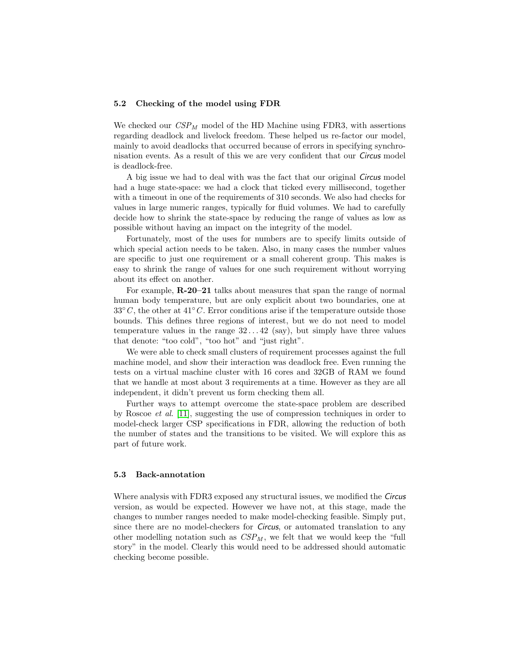### 5.2 Checking of the model using FDR

We checked our  $CSP_M$  model of the HD Machine using FDR3, with assertions regarding deadlock and livelock freedom. These helped us re-factor our model, mainly to avoid deadlocks that occurred because of errors in specifying synchronisation events. As a result of this we are very confident that our Circus model is deadlock-free.

A big issue we had to deal with was the fact that our original Circus model had a huge state-space: we had a clock that ticked every millisecond, together with a timeout in one of the requirements of 310 seconds. We also had checks for values in large numeric ranges, typically for fluid volumes. We had to carefully decide how to shrink the state-space by reducing the range of values as low as possible without having an impact on the integrity of the model.

Fortunately, most of the uses for numbers are to specify limits outside of which special action needs to be taken. Also, in many cases the number values are specific to just one requirement or a small coherent group. This makes is easy to shrink the range of values for one such requirement without worrying about its effect on another.

For example, R-20–21 talks about measures that span the range of normal human body temperature, but are only explicit about two boundaries, one at  $33°C$ , the other at  $41°C$ . Error conditions arise if the temperature outside those bounds. This defines three regions of interest, but we do not need to model temperature values in the range  $32 \dots 42$  (say), but simply have three values that denote: "too cold", "too hot" and "just right".

We were able to check small clusters of requirement processes against the full machine model, and show their interaction was deadlock free. Even running the tests on a virtual machine cluster with 16 cores and 32GB of RAM we found that we handle at most about 3 requirements at a time. However as they are all independent, it didn't prevent us form checking them all.

Further ways to attempt overcome the state-space problem are described by Roscoe et al. [\[11\]](#page-15-12), suggesting the use of compression techniques in order to model-check larger CSP specifications in FDR, allowing the reduction of both the number of states and the transitions to be visited. We will explore this as part of future work.

#### 5.3 Back-annotation

Where analysis with FDR3 exposed any structural issues, we modified the Circus version, as would be expected. However we have not, at this stage, made the changes to number ranges needed to make model-checking feasible. Simply put, since there are no model-checkers for *Circus*, or automated translation to any other modelling notation such as  $CSP_M$ , we felt that we would keep the "full story" in the model. Clearly this would need to be addressed should automatic checking become possible.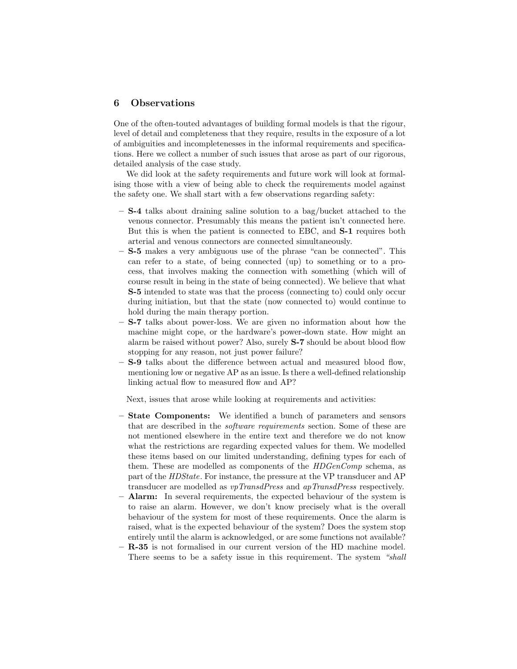## <span id="page-13-0"></span>6 Observations

One of the often-touted advantages of building formal models is that the rigour, level of detail and completeness that they require, results in the exposure of a lot of ambiguities and incompletenesses in the informal requirements and specifications. Here we collect a number of such issues that arose as part of our rigorous, detailed analysis of the case study.

We did look at the safety requirements and future work will look at formalising those with a view of being able to check the requirements model against the safety one. We shall start with a few observations regarding safety:

- $-$  S-4 talks about draining saline solution to a bag/bucket attached to the venous connector. Presumably this means the patient isn't connected here. But this is when the patient is connected to EBC, and S-1 requires both arterial and venous connectors are connected simultaneously.
- S-5 makes a very ambiguous use of the phrase "can be connected". This can refer to a state, of being connected (up) to something or to a process, that involves making the connection with something (which will of course result in being in the state of being connected). We believe that what S-5 intended to state was that the process (connecting to) could only occur during initiation, but that the state (now connected to) would continue to hold during the main therapy portion.
- S-7 talks about power-loss. We are given no information about how the machine might cope, or the hardware's power-down state. How might an alarm be raised without power? Also, surely S-7 should be about blood flow stopping for any reason, not just power failure?
- S-9 talks about the difference between actual and measured blood flow, mentioning low or negative AP as an issue. Is there a well-defined relationship linking actual flow to measured flow and AP?

Next, issues that arose while looking at requirements and activities:

- State Components: We identified a bunch of parameters and sensors that are described in the software requirements section. Some of these are not mentioned elsewhere in the entire text and therefore we do not know what the restrictions are regarding expected values for them. We modelled these items based on our limited understanding, defining types for each of them. These are modelled as components of the HDGenComp schema, as part of the HDState. For instance, the pressure at the VP transducer and AP transducer are modelled as vpTransdPress and apTransdPress respectively.
- Alarm: In several requirements, the expected behaviour of the system is to raise an alarm. However, we don't know precisely what is the overall behaviour of the system for most of these requirements. Once the alarm is raised, what is the expected behaviour of the system? Does the system stop entirely until the alarm is acknowledged, or are some functions not available?
- R-35 is not formalised in our current version of the HD machine model. There seems to be a safety issue in this requirement. The system "shall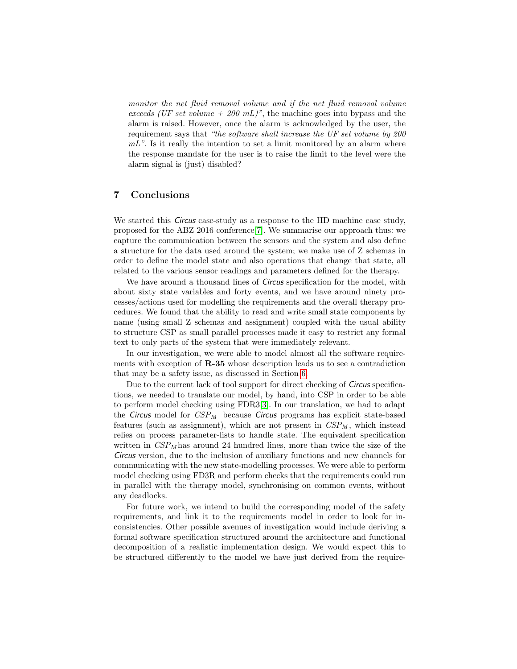monitor the net fluid removal volume and if the net fluid removal volume exceeds (UF set volume  $+$  200 mL)", the machine goes into bypass and the alarm is raised. However, once the alarm is acknowledged by the user, the requirement says that "the software shall increase the UF set volume by 200  $mL$ ". Is it really the intention to set a limit monitored by an alarm where the response mandate for the user is to raise the limit to the level were the alarm signal is (just) disabled?

## <span id="page-14-0"></span>7 Conclusions

We started this *Circus* case-study as a response to the HD machine case study, proposed for the ABZ 2016 conference[\[7\]](#page-15-0). We summarise our approach thus: we capture the communication between the sensors and the system and also define a structure for the data used around the system; we make use of Z schemas in order to define the model state and also operations that change that state, all related to the various sensor readings and parameters defined for the therapy.

We have around a thousand lines of *Circus* specification for the model, with about sixty state variables and forty events, and we have around ninety processes/actions used for modelling the requirements and the overall therapy procedures. We found that the ability to read and write small state components by name (using small Z schemas and assignment) coupled with the usual ability to structure CSP as small parallel processes made it easy to restrict any formal text to only parts of the system that were immediately relevant.

In our investigation, we were able to model almost all the software requirements with exception of R-35 whose description leads us to see a contradiction that may be a safety issue, as discussed in Section [6.](#page-13-0)

Due to the current lack of tool support for direct checking of Circus specifications, we needed to translate our model, by hand, into CSP in order to be able to perform model checking using FDR3[\[3\]](#page-15-1). In our translation, we had to adapt the Circus model for  $CSP_M$  because Circus programs has explicit state-based features (such as assignment), which are not present in  $CSP_M$ , which instead relies on process parameter-lists to handle state. The equivalent specification written in  $CSP<sub>M</sub>$  has around 24 hundred lines, more than twice the size of the Circus version, due to the inclusion of auxiliary functions and new channels for communicating with the new state-modelling processes. We were able to perform model checking using FD3R and perform checks that the requirements could run in parallel with the therapy model, synchronising on common events, without any deadlocks.

For future work, we intend to build the corresponding model of the safety requirements, and link it to the requirements model in order to look for inconsistencies. Other possible avenues of investigation would include deriving a formal software specification structured around the architecture and functional decomposition of a realistic implementation design. We would expect this to be structured differently to the model we have just derived from the require